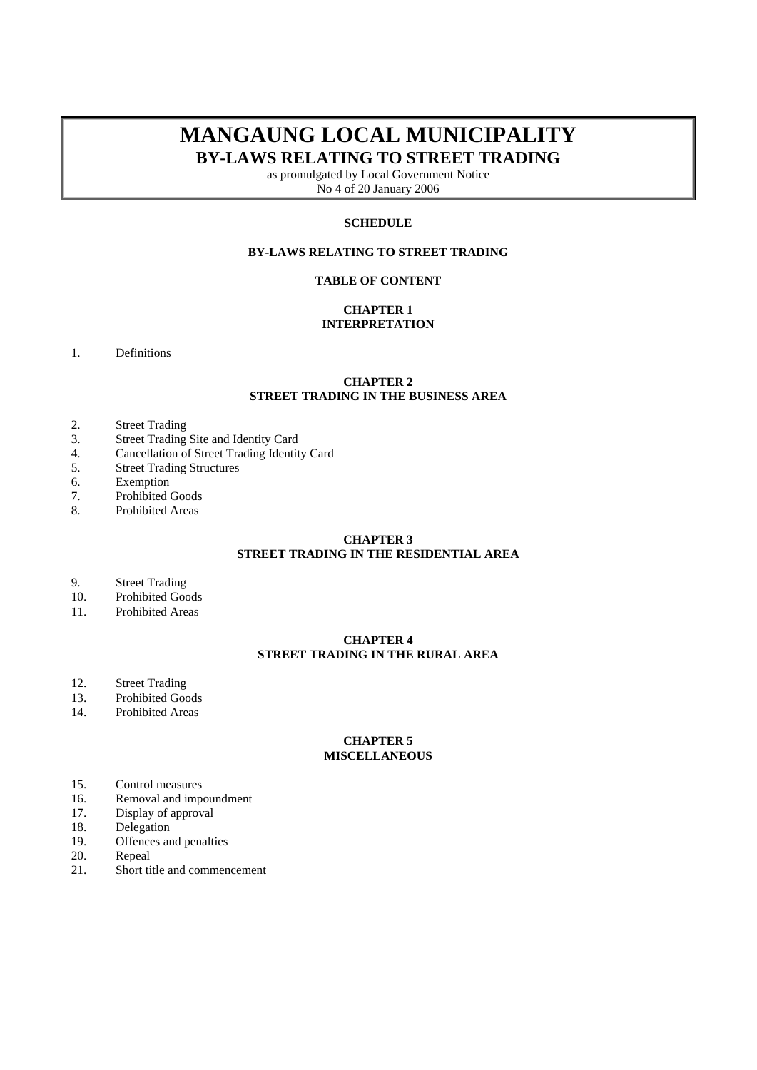# **MANGAUNG LOCAL MUNICIPALITY BY-LAWS RELATING TO STREET TRADING**

as promulgated by Local Government Notice No 4 of 20 January 2006

# **SCHEDULE**

# **BY-LAWS RELATING TO STREET TRADING**

# **TABLE OF CONTENT**

# **CHAPTER 1 INTERPRETATION**

1. Definitions

# **CHAPTER 2 STREET TRADING IN THE BUSINESS AREA**

- 2. Street Trading
- 3. Street Trading Site and Identity Card
- 4. Cancellation of Street Trading Identity Card
- 5. Street Trading Structures
- 6. Exemption
- 7. Prohibited Goods
- 8. Prohibited Areas

# **CHAPTER 3 STREET TRADING IN THE RESIDENTIAL AREA**

- 9. Street Trading<br>10 Prohibited Goo
- Prohibited Goods
- 11. Prohibited Areas

# **CHAPTER 4 STREET TRADING IN THE RURAL AREA**

- 12. Street Trading
- 13. Prohibited Goods
- 14. Prohibited Areas

# **CHAPTER 5 MISCELLANEOUS**

- 15. Control measures
- 16. Removal and impoundment
- 17. Display of approval
- 18. Delegation<br>19. Offences are
- Offences and penalties
- 20. Repeal
- 21. Short title and commencement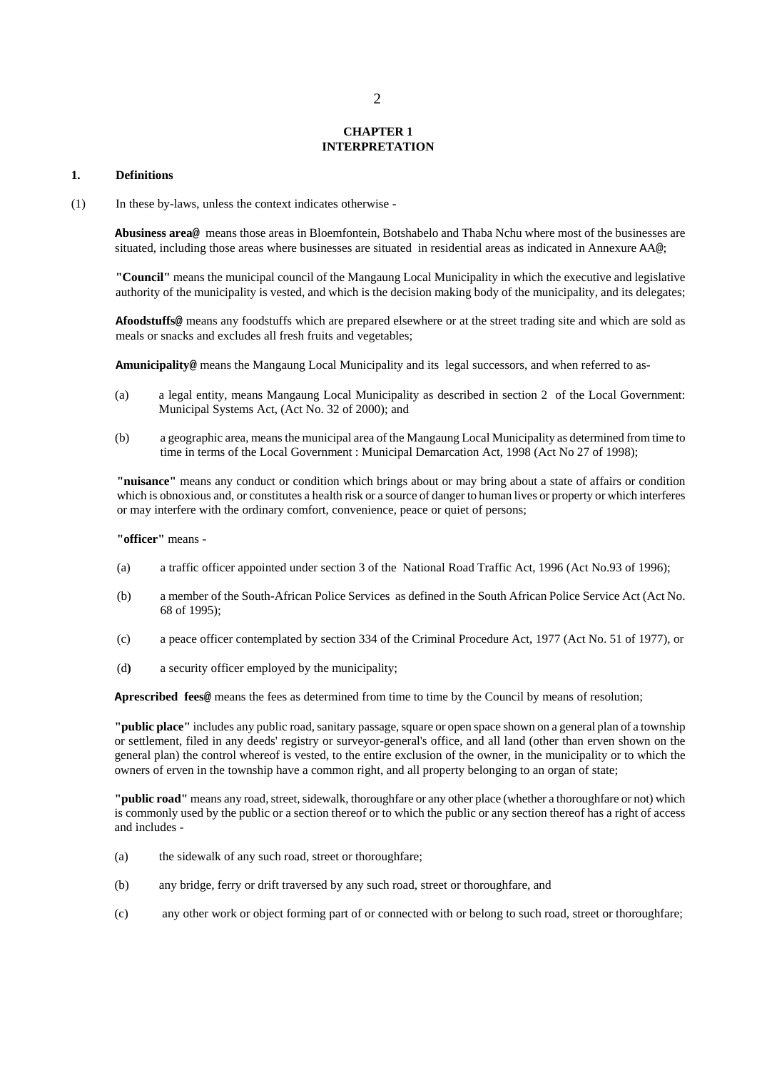#### **CHAPTER 1 INTERPRETATION**

#### **1. Definitions**

(1) In these by-laws, unless the context indicates otherwise -

**Abusiness area@** means those areas in Bloemfontein, Botshabelo and Thaba Nchu where most of the businesses are situated, including those areas where businesses are situated in residential areas as indicated in Annexure AA@;

**"Council"** means the municipal council of the Mangaung Local Municipality in which the executive and legislative authority of the municipality is vested, and which is the decision making body of the municipality, and its delegates;

 **Afoodstuffs@** means any foodstuffs which are prepared elsewhere or at the street trading site and which are sold as meals or snacks and excludes all fresh fruits and vegetables;

**Amunicipality@** means the Mangaung Local Municipality and its legal successors, and when referred to as-

- (a) a legal entity, means Mangaung Local Municipality as described in section 2 of the Local Government: Municipal Systems Act, (Act No. 32 of 2000); and
- (b) a geographic area, means the municipal area of the Mangaung Local Municipality as determined from time to time in terms of the Local Government : Municipal Demarcation Act, 1998 (Act No 27 of 1998);

 **"nuisance"** means any conduct or condition which brings about or may bring about a state of affairs or condition which is obnoxious and, or constitutes a health risk or a source of danger to human lives or property or which interferes or may interfere with the ordinary comfort, convenience, peace or quiet of persons;

## **"officer"** means -

- (a) a traffic officer appointed under section 3 of the National Road Traffic Act, 1996 (Act No.93 of 1996);
- (b) a member of the South-African Police Services as defined in the South African Police Service Act (Act No. 68 of 1995);
- (c) a peace officer contemplated by section 334 of the Criminal Procedure Act, 1977 (Act No. 51 of 1977), or
- (d**)** a security officer employed by the municipality;

**Aprescribed fees@** means the fees as determined from time to time by the Council by means of resolution;

 **"public place"** includes any public road, sanitary passage, square or open space shown on a general plan of a township or settlement, filed in any deeds' registry or surveyor-general's office, and all land (other than erven shown on the general plan) the control whereof is vested, to the entire exclusion of the owner, in the municipality or to which the owners of erven in the township have a common right, and all property belonging to an organ of state;

 **"public road"** means any road, street, sidewalk, thoroughfare or any other place (whether a thoroughfare or not) which is commonly used by the public or a section thereof or to which the public or any section thereof has a right of access and includes -

- (a) the sidewalk of any such road, street or thoroughfare;
- (b) any bridge, ferry or drift traversed by any such road, street or thoroughfare, and
- (c) any other work or object forming part of or connected with or belong to such road, street or thoroughfare;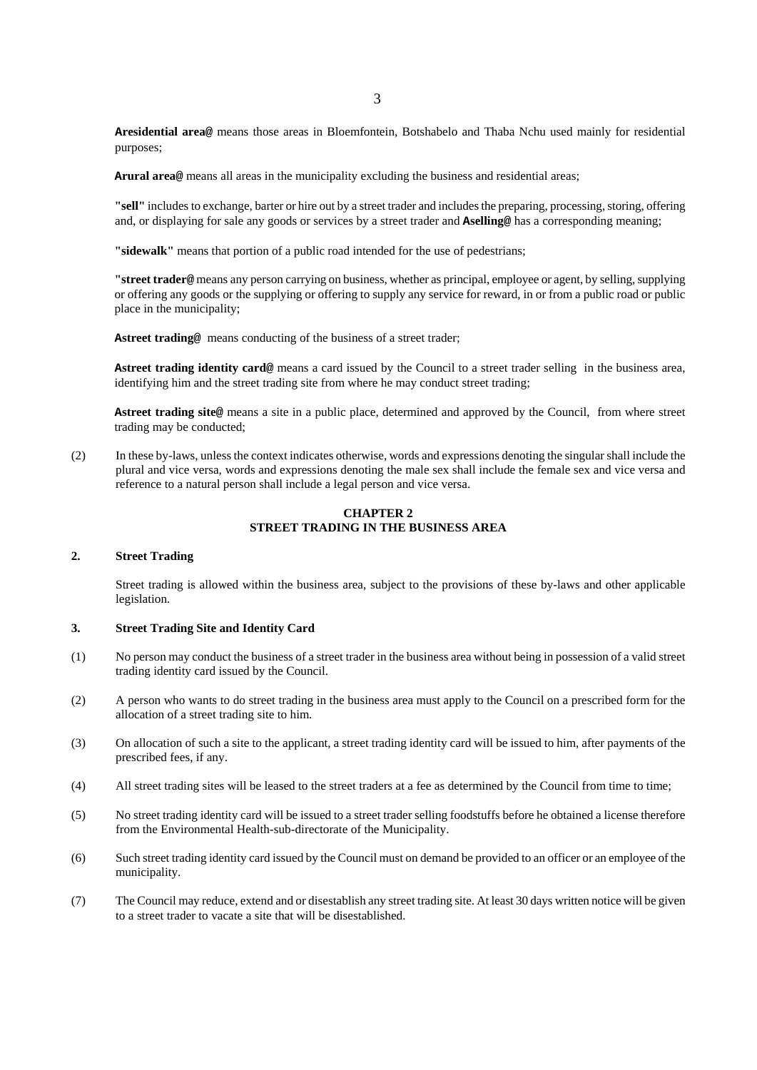**Aresidential area@** means those areas in Bloemfontein, Botshabelo and Thaba Nchu used mainly for residential purposes;

**Arural area@** means all areas in the municipality excluding the business and residential areas;

**"sell"** includes to exchange, barter or hire out by a street trader and includes the preparing, processing, storing, offering and, or displaying for sale any goods or services by a street trader and **Aselling@** has a corresponding meaning;

**"sidewalk"** means that portion of a public road intended for the use of pedestrians;

**"street trader@** means any person carrying on business, whether as principal, employee or agent, by selling, supplying or offering any goods or the supplying or offering to supply any service for reward, in or from a public road or public place in the municipality;

**Astreet trading@** means conducting of the business of a street trader;

A**street trading identity card**<sup>@</sup> means a card issued by the Council to a street trader selling in the business area, identifying him and the street trading site from where he may conduct street trading;

**Astreet trading site@** means a site in a public place, determined and approved by the Council, from where street trading may be conducted;

(2) In these by-laws, unless the context indicates otherwise, words and expressions denoting the singular shall include the plural and vice versa, words and expressions denoting the male sex shall include the female sex and vice versa and reference to a natural person shall include a legal person and vice versa.

# **CHAPTER 2 STREET TRADING IN THE BUSINESS AREA**

#### **2. Street Trading**

Street trading is allowed within the business area, subject to the provisions of these by-laws and other applicable legislation.

#### **3. Street Trading Site and Identity Card**

- (1) No person may conduct the business of a street trader in the business area without being in possession of a valid street trading identity card issued by the Council.
- (2) A person who wants to do street trading in the business area must apply to the Council on a prescribed form for the allocation of a street trading site to him.
- (3) On allocation of such a site to the applicant, a street trading identity card will be issued to him, after payments of the prescribed fees, if any.
- (4) All street trading sites will be leased to the street traders at a fee as determined by the Council from time to time;
- (5) No street trading identity card will be issued to a street trader selling foodstuffs before he obtained a license therefore from the Environmental Health-sub-directorate of the Municipality.
- (6) Such street trading identity card issued by the Council must on demand be provided to an officer or an employee of the municipality.
- (7) The Council may reduce, extend and or disestablish any street trading site. At least 30 days written notice will be given to a street trader to vacate a site that will be disestablished.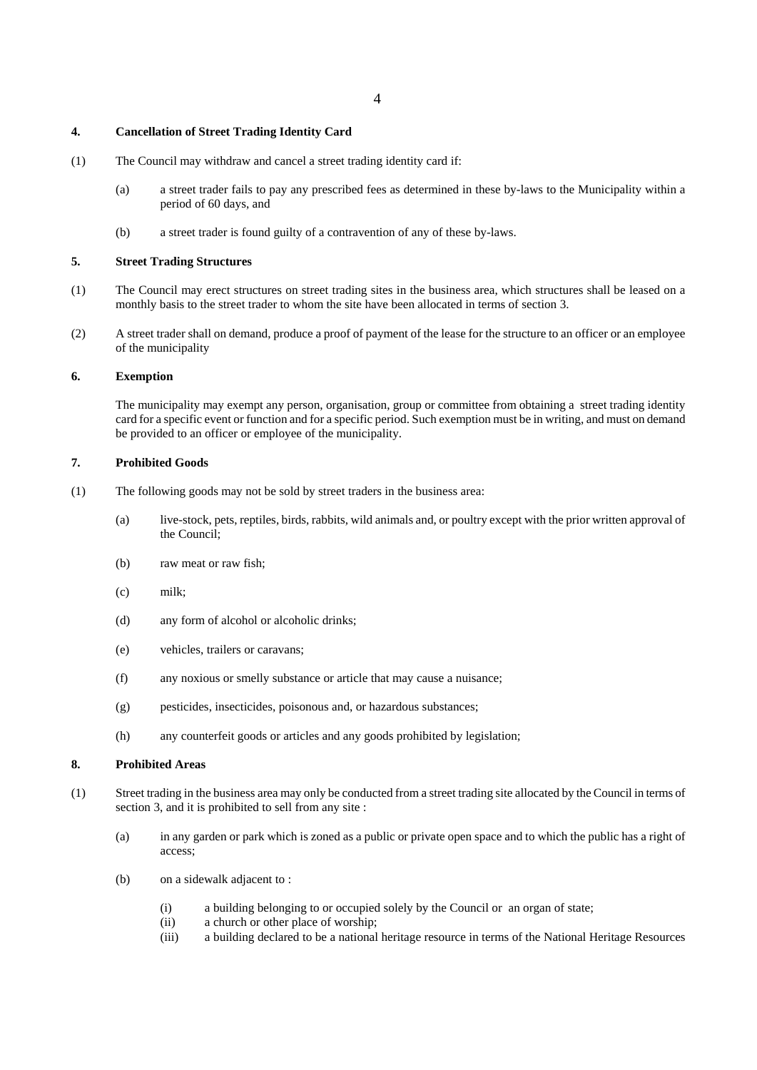## **4. Cancellation of Street Trading Identity Card**

- (1) The Council may withdraw and cancel a street trading identity card if:
	- (a) a street trader fails to pay any prescribed fees as determined in these by-laws to the Municipality within a period of 60 days, and
	- (b) a street trader is found guilty of a contravention of any of these by-laws.

## **5. Street Trading Structures**

- (1) The Council may erect structures on street trading sites in the business area, which structures shall be leased on a monthly basis to the street trader to whom the site have been allocated in terms of section 3.
- (2) A street trader shall on demand, produce a proof of payment of the lease for the structure to an officer or an employee of the municipality

# **6. Exemption**

The municipality may exempt any person, organisation, group or committee from obtaining a street trading identity card for a specific event or function and for a specific period. Such exemption must be in writing, and must on demand be provided to an officer or employee of the municipality.

# **7. Prohibited Goods**

- (1) The following goods may not be sold by street traders in the business area:
	- (a) live-stock, pets, reptiles, birds, rabbits, wild animals and, or poultry except with the prior written approval of the Council;
	- (b) raw meat or raw fish;
	- (c) milk;
	- (d) any form of alcohol or alcoholic drinks;
	- (e) vehicles, trailers or caravans;
	- (f) any noxious or smelly substance or article that may cause a nuisance;
	- (g) pesticides, insecticides, poisonous and, or hazardous substances;
	- (h) any counterfeit goods or articles and any goods prohibited by legislation;

# **8. Prohibited Areas**

- (1) Street trading in the business area may only be conducted from a street trading site allocated by the Council in terms of section 3, and it is prohibited to sell from any site :
	- (a) in any garden or park which is zoned as a public or private open space and to which the public has a right of access;
	- (b) on a sidewalk adjacent to :
		- (i) a building belonging to or occupied solely by the Council or an organ of state;
		- (ii) a church or other place of worship;
		- (iii) a building declared to be a national heritage resource in terms of the National Heritage Resources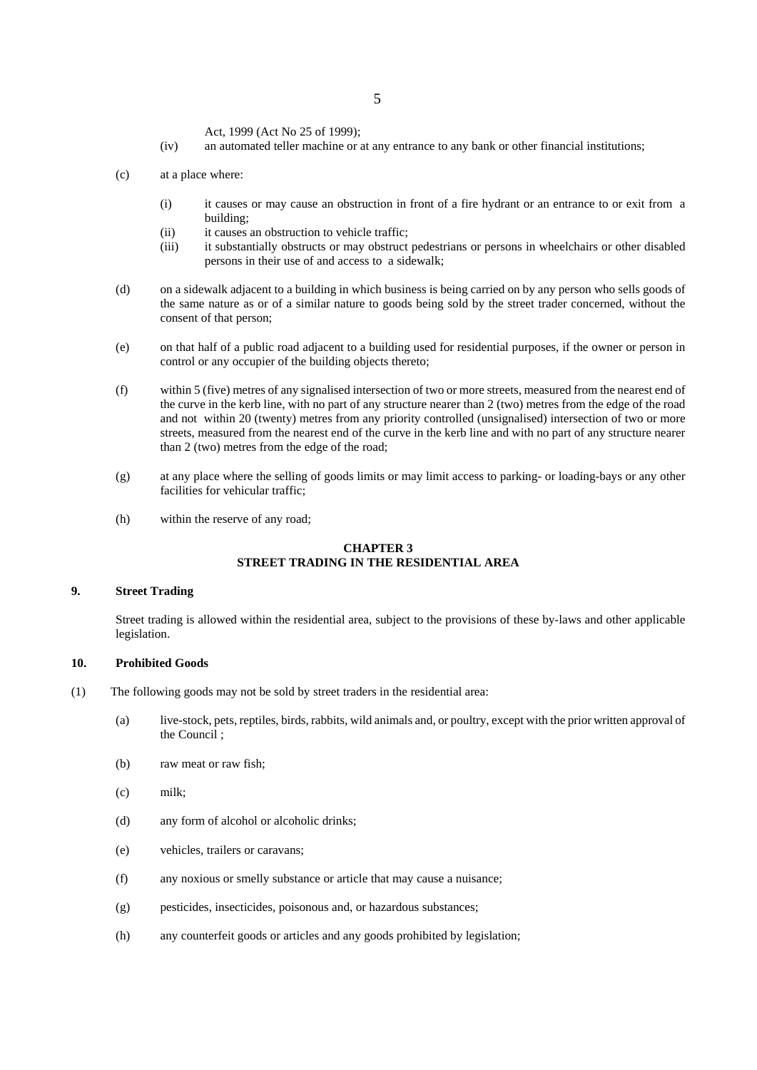Act, 1999 (Act No 25 of 1999);

- (iv) an automated teller machine or at any entrance to any bank or other financial institutions;
- (c) at a place where:
	- (i) it causes or may cause an obstruction in front of a fire hydrant or an entrance to or exit from a building;
	- (ii) it causes an obstruction to vehicle traffic:
	- (iii) it substantially obstructs or may obstruct pedestrians or persons in wheelchairs or other disabled persons in their use of and access to a sidewalk;
- (d) on a sidewalk adjacent to a building in which business is being carried on by any person who sells goods of the same nature as or of a similar nature to goods being sold by the street trader concerned, without the consent of that person;
- (e) on that half of a public road adjacent to a building used for residential purposes, if the owner or person in control or any occupier of the building objects thereto;
- (f) within 5 (five) metres of any signalised intersection of two or more streets, measured from the nearest end of the curve in the kerb line, with no part of any structure nearer than 2 (two) metres from the edge of the road and not within 20 (twenty) metres from any priority controlled (unsignalised) intersection of two or more streets, measured from the nearest end of the curve in the kerb line and with no part of any structure nearer than 2 (two) metres from the edge of the road;
- (g) at any place where the selling of goods limits or may limit access to parking- or loading-bays or any other facilities for vehicular traffic;
- (h) within the reserve of any road;

# **CHAPTER 3 STREET TRADING IN THE RESIDENTIAL AREA**

## **9. Street Trading**

Street trading is allowed within the residential area, subject to the provisions of these by-laws and other applicable legislation.

## **10. Prohibited Goods**

- (1) The following goods may not be sold by street traders in the residential area:
	- (a) live-stock, pets, reptiles, birds, rabbits, wild animals and, or poultry, except with the prior written approval of the Council ;
	- (b) raw meat or raw fish;
	- (c) milk;
	- (d) any form of alcohol or alcoholic drinks;
	- (e) vehicles, trailers or caravans;
	- (f) any noxious or smelly substance or article that may cause a nuisance;
	- (g) pesticides, insecticides, poisonous and, or hazardous substances;
	- (h) any counterfeit goods or articles and any goods prohibited by legislation;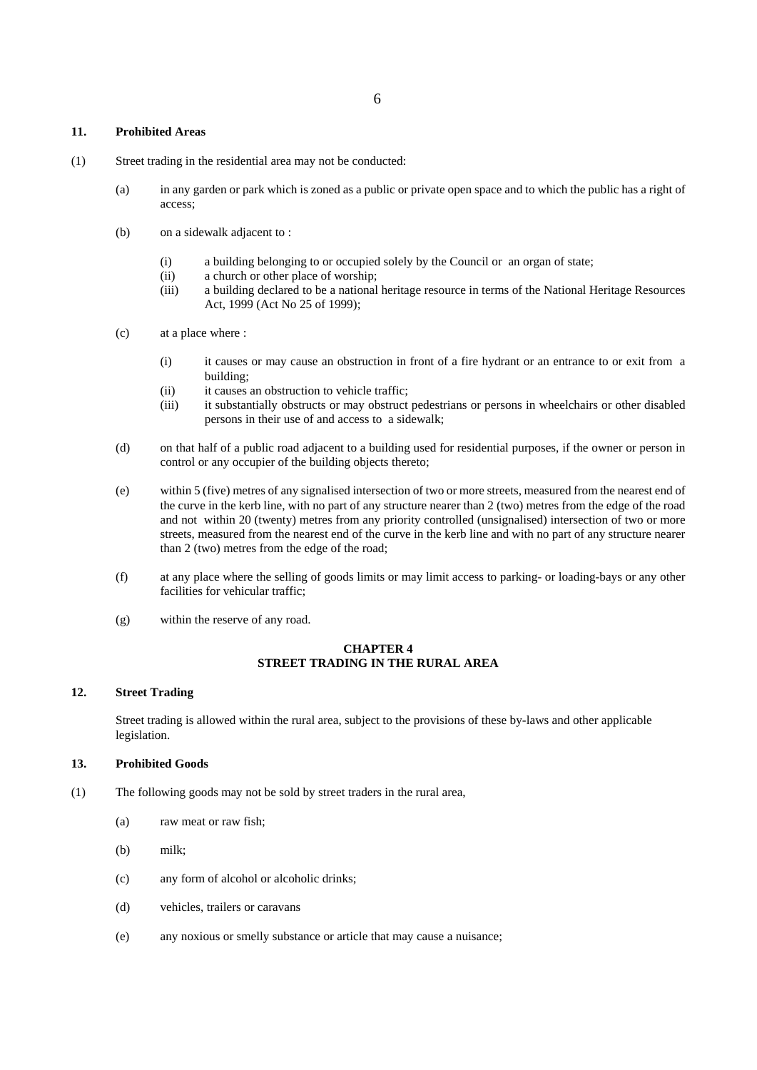## **11. Prohibited Areas**

- (1) Street trading in the residential area may not be conducted:
	- (a) in any garden or park which is zoned as a public or private open space and to which the public has a right of access;
	- (b) on a sidewalk adjacent to :
		- (i) a building belonging to or occupied solely by the Council or an organ of state;
		- (ii) a church or other place of worship;
		- (iii) a building declared to be a national heritage resource in terms of the National Heritage Resources Act, 1999 (Act No 25 of 1999);
	- (c) at a place where :
		- (i) it causes or may cause an obstruction in front of a fire hydrant or an entrance to or exit from a building;
		- (ii) it causes an obstruction to vehicle traffic;
		- (iii) it substantially obstructs or may obstruct pedestrians or persons in wheelchairs or other disabled persons in their use of and access to a sidewalk;
	- (d) on that half of a public road adjacent to a building used for residential purposes, if the owner or person in control or any occupier of the building objects thereto;
	- (e) within 5 (five) metres of any signalised intersection of two or more streets, measured from the nearest end of the curve in the kerb line, with no part of any structure nearer than 2 (two) metres from the edge of the road and not within 20 (twenty) metres from any priority controlled (unsignalised) intersection of two or more streets, measured from the nearest end of the curve in the kerb line and with no part of any structure nearer than 2 (two) metres from the edge of the road;
	- (f) at any place where the selling of goods limits or may limit access to parking- or loading-bays or any other facilities for vehicular traffic;
	- (g) within the reserve of any road.

# **CHAPTER 4 STREET TRADING IN THE RURAL AREA**

#### **12. Street Trading**

Street trading is allowed within the rural area, subject to the provisions of these by-laws and other applicable legislation.

# **13. Prohibited Goods**

- (1) The following goods may not be sold by street traders in the rural area,
	- (a) raw meat or raw fish;
	- (b) milk;
	- (c) any form of alcohol or alcoholic drinks;
	- (d) vehicles, trailers or caravans
	- (e) any noxious or smelly substance or article that may cause a nuisance;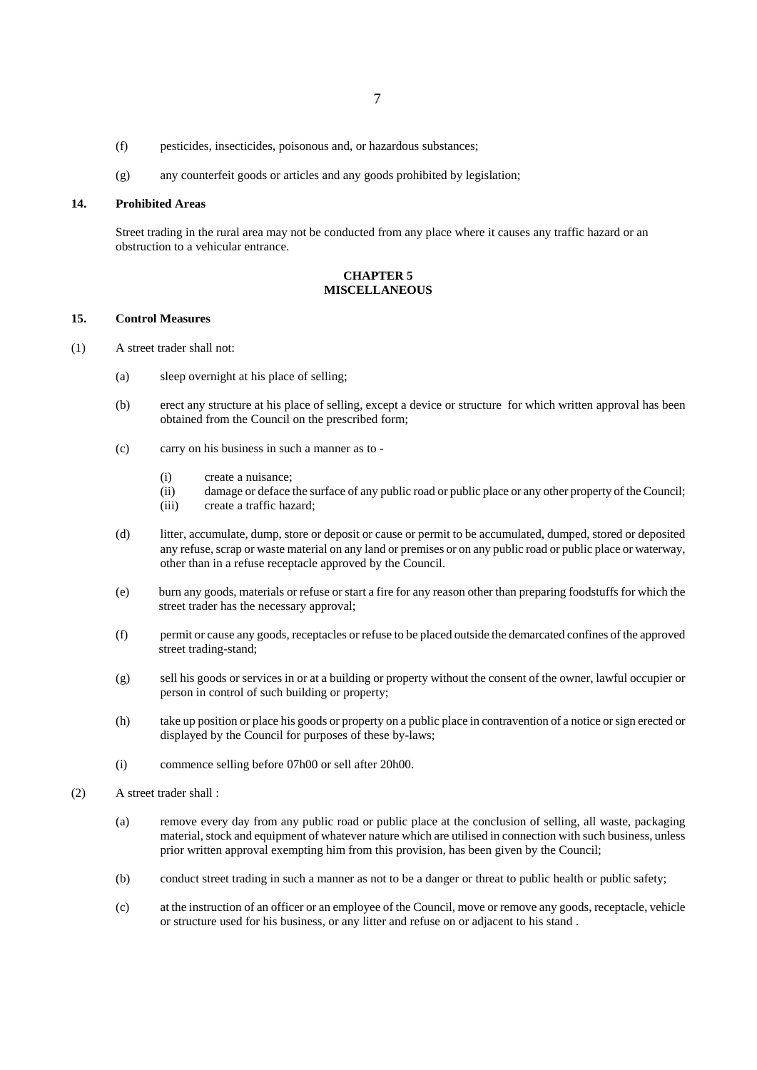- (f) pesticides, insecticides, poisonous and, or hazardous substances;
- (g) any counterfeit goods or articles and any goods prohibited by legislation;

# **14. Prohibited Areas**

Street trading in the rural area may not be conducted from any place where it causes any traffic hazard or an obstruction to a vehicular entrance.

# **CHAPTER 5 MISCELLANEOUS**

#### **15. Control Measures**

- (1) A street trader shall not:
	- (a) sleep overnight at his place of selling;
	- (b) erect any structure at his place of selling, except a device or structure for which written approval has been obtained from the Council on the prescribed form;
	- (c) carry on his business in such a manner as to
		- (i) create a nuisance;
		- (ii) damage or deface the surface of any public road or public place or any other property of the Council;
		- (iii) create a traffic hazard;
	- (d) litter, accumulate, dump, store or deposit or cause or permit to be accumulated, dumped, stored or deposited any refuse, scrap or waste material on any land or premises or on any public road or public place or waterway, other than in a refuse receptacle approved by the Council.
	- (e) burn any goods, materials or refuse or start a fire for any reason other than preparing foodstuffs for which the street trader has the necessary approval;
	- (f) permit or cause any goods, receptacles or refuse to be placed outside the demarcated confines of the approved street trading-stand;
	- (g) sell his goods or services in or at a building or property without the consent of the owner, lawful occupier or person in control of such building or property;
	- (h) take up position or place his goods or property on a public place in contravention of a notice or sign erected or displayed by the Council for purposes of these by-laws;
	- (i)commence selling before 07h00 or sell after 20h00.
- (2) A street trader shall :
	- (a) remove every day from any public road or public place at the conclusion of selling, all waste, packaging material, stock and equipment of whatever nature which are utilised in connection with such business, unless prior written approval exempting him from this provision, has been given by the Council;
	- (b) conduct street trading in such a manner as not to be a danger or threat to public health or public safety;
	- (c) at the instruction of an officer or an employee of the Council, move or remove any goods, receptacle, vehicle or structure used for his business, or any litter and refuse on or adjacent to his stand .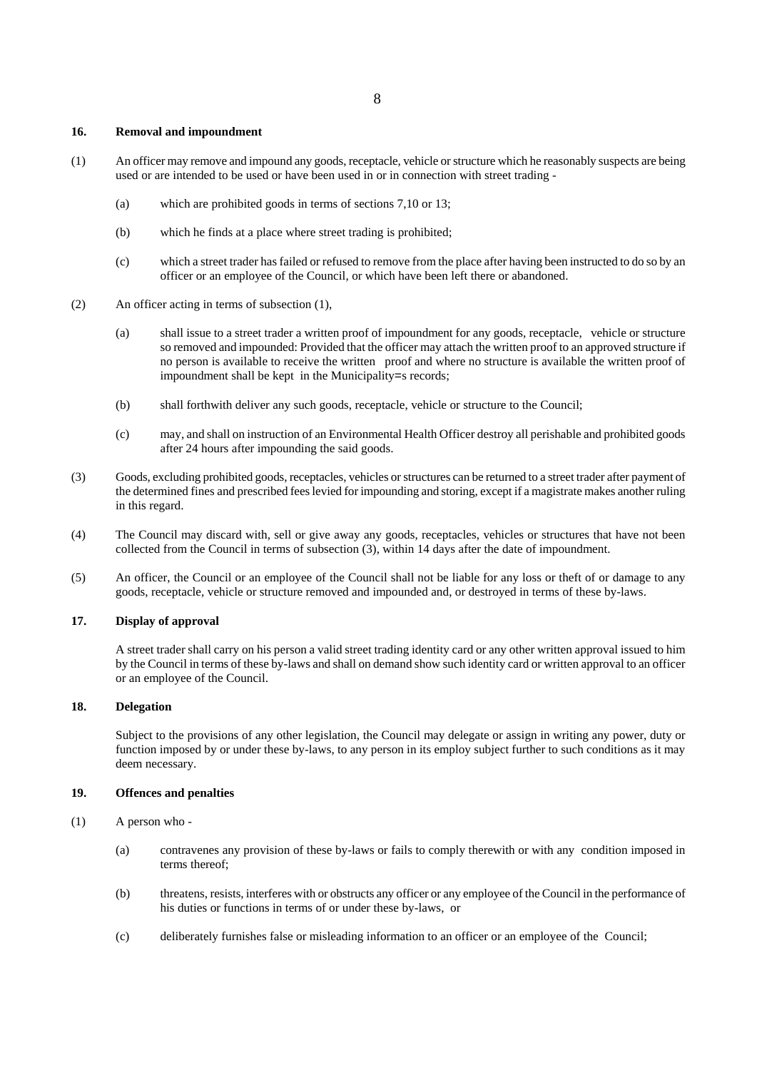## **16. Removal and impoundment**

- (1) An officer may remove and impound any goods, receptacle, vehicle or structure which he reasonably suspects are being used or are intended to be used or have been used in or in connection with street trading -
	- (a) which are prohibited goods in terms of sections 7,10 or 13;
	- (b) which he finds at a place where street trading is prohibited;
	- (c) which a street trader has failed or refused to remove from the place after having been instructed to do so by an officer or an employee of the Council, or which have been left there or abandoned.
- (2) An officer acting in terms of subsection (1),
	- (a) shall issue to a street trader a written proof of impoundment for any goods, receptacle, vehicle or structure so removed and impounded: Provided that the officer may attach the written proof to an approved structure if no person is available to receive the written proof and where no structure is available the written proof of impoundment shall be kept in the Municipality=s records;
	- (b) shall forthwith deliver any such goods, receptacle, vehicle or structure to the Council;
	- (c) may, and shall on instruction of an Environmental Health Officer destroy all perishable and prohibited goods after 24 hours after impounding the said goods.
- (3) Goods, excluding prohibited goods, receptacles, vehicles or structures can be returned to a street trader after payment of the determined fines and prescribed fees levied for impounding and storing, except if a magistrate makes another ruling in this regard.
- (4) The Council may discard with, sell or give away any goods, receptacles, vehicles or structures that have not been collected from the Council in terms of subsection (3), within 14 days after the date of impoundment.
- (5) An officer, the Council or an employee of the Council shall not be liable for any loss or theft of or damage to any goods, receptacle, vehicle or structure removed and impounded and, or destroyed in terms of these by-laws.

# **17. Display of approval**

A street trader shall carry on his person a valid street trading identity card or any other written approval issued to him by the Council in terms of these by-laws and shall on demand show such identity card or written approval to an officer or an employee of the Council.

## **18. Delegation**

Subject to the provisions of any other legislation, the Council may delegate or assign in writing any power, duty or function imposed by or under these by-laws, to any person in its employ subject further to such conditions as it may deem necessary.

#### **19. Offences and penalties**

- (1) A person who
	- (a) contravenes any provision of these by-laws or fails to comply therewith or with any condition imposed in terms thereof;
	- (b) threatens, resists, interferes with or obstructs any officer or any employee of the Council in the performance of his duties or functions in terms of or under these by-laws, or
	- (c) deliberately furnishes false or misleading information to an officer or an employee of the Council;